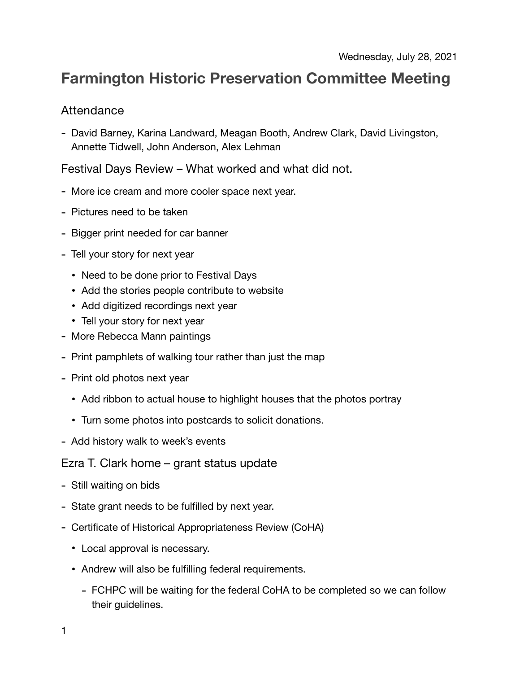## **Farmington Historic Preservation Committee Meeting**

## Attendance

- David Barney, Karina Landward, Meagan Booth, Andrew Clark, David Livingston, Annette Tidwell, John Anderson, Alex Lehman

Festival Days Review – What worked and what did not.

- More ice cream and more cooler space next year.
- Pictures need to be taken
- Bigger print needed for car banner
- Tell your story for next year
	- Need to be done prior to Festival Days
	- Add the stories people contribute to website
	- Add digitized recordings next year
	- Tell your story for next year
- More Rebecca Mann paintings
- Print pamphlets of walking tour rather than just the map
- Print old photos next year
	- Add ribbon to actual house to highlight houses that the photos portray
	- Turn some photos into postcards to solicit donations.
- Add history walk to week's events

Ezra T. Clark home – grant status update

- Still waiting on bids
- State grant needs to be fulfilled by next year.
- Certificate of Historical Appropriateness Review (CoHA)
	- Local approval is necessary.
	- Andrew will also be fulfilling federal requirements.
		- FCHPC will be waiting for the federal CoHA to be completed so we can follow their guidelines.